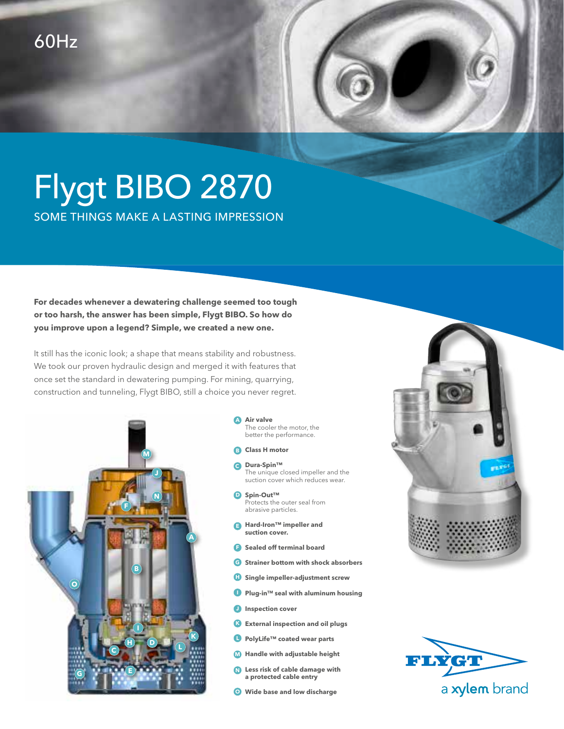## Flygt BIBO 2870 SOME THINGS MAKE A LASTING IMPRESSION

**For decades whenever a dewatering challenge seemed too tough or too harsh, the answer has been simple, Flygt BIBO. So how do you improve upon a legend? Simple, we created a new one.** 

It still has the iconic look; a shape that means stability and robustness. We took our proven hydraulic design and merged it with features that once set the standard in dewatering pumping. For mining, quarrying, construction and tunneling, Flygt BIBO, still a choice you never regret.



## **Air valve A** The cooler the motor, the better the performance.

- **B** Class H motor
- **Dura-Spin™ C** The unique closed impeller and the suction cover which reduces wear.
- **Spin-Out™ D** Protects the outer seal from abrasive particles.
- **Hard-Iron™ impeller and E suction cover.**
- **F** Sealed off terminal board
- **Strainer bottom with shock absorbers G**
- **H** Single impeller-adjustment screw
- Plug-in<sup>™</sup> seal with aluminum housing
- **Inspection cover**
- **External inspection and oil plugs K**
- **PolyLife™ coated wear parts L**
- **Handle with adjustable height M**
- **Less risk of cable damage with N a protected cable entry**
- **Wide base and low discharge O**